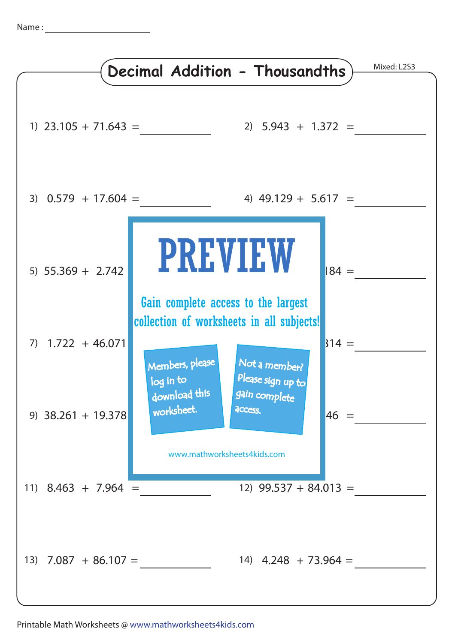